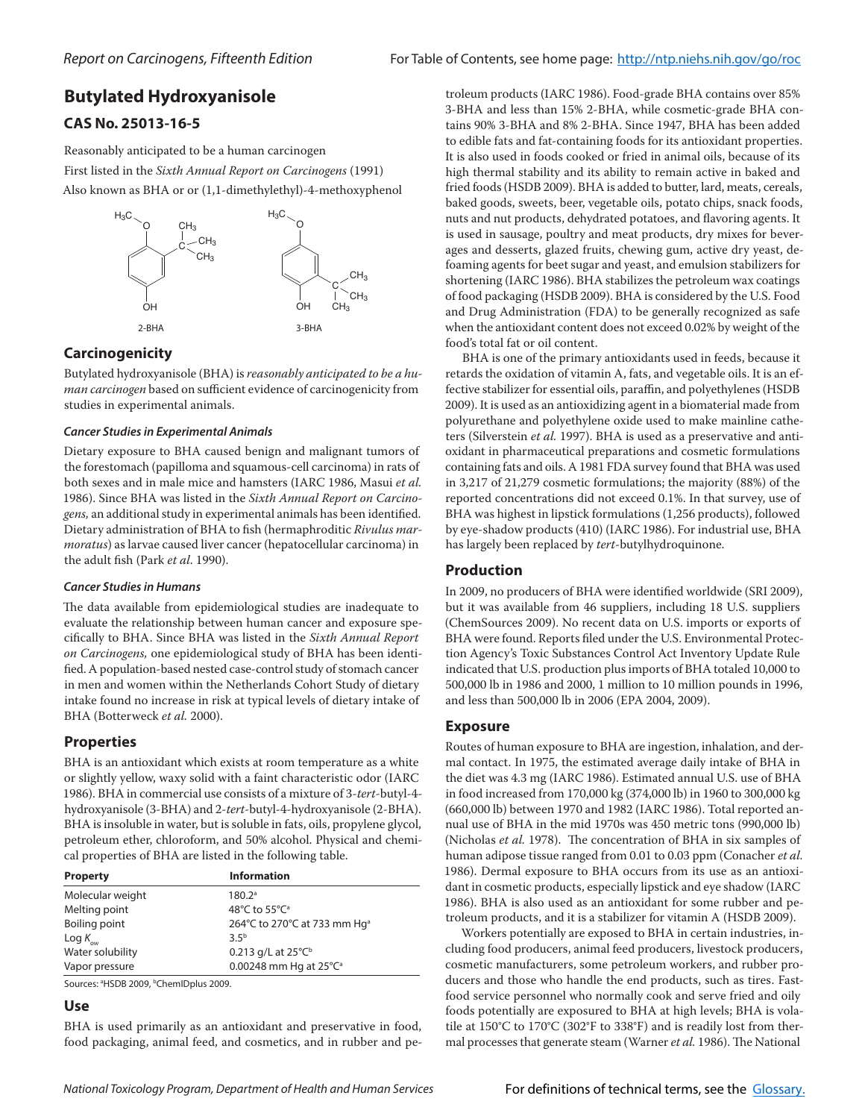# **Butylated Hydroxyanisole**

## **CAS No. 25013-16-5**

Reasonably anticipated to be a human carcinogen First listed in the *Sixth Annual Report on Carcinogens* (1991) Also known as BHA or or (1,1-dimethylethyl)-4-methoxyphenol



## **Carcinogenicity**

Butylated hydroxyanisole (BHA) is *reasonably anticipated to be a human carcinogen* based on sufficient evidence of carcinogenicity from studies in experimental animals.

#### *Cancer Studies in Experimental Animals*

Dietary exposure to BHA caused benign and malignant tumors of the forestomach (papilloma and squamous-cell carcinoma) in rats of both sexes and in male mice and hamsters (IARC 1986, Masui *et al.*  1986). Since BHA was listed in the *Sixth Annual Report on Carcinogens,* an additional study in experimental animals has been identified. Dietary administration of BHA to fish (hermaphroditic *Rivulus marmoratus*) as larvae caused liver cancer (hepatocellular carcinoma) in the adult fish (Park *et al*. 1990).

### *Cancer Studies in Humans*

The data available from epidemiological studies are inadequate to evaluate the relationship between human cancer and exposure specifically to BHA. Since BHA was listed in the *Sixth Annual Report on Carcinogens,* one epidemiological study of BHA has been identified. A population-based nested case-control study of stomach cancer in men and women within the Netherlands Cohort Study of dietary intake found no increase in risk at typical levels of dietary intake of BHA (Botterweck *et al.* 2000).

### **Properties**

BHA is an antioxidant which exists at room temperature as a white or slightly yellow, waxy solid with a faint characteristic odor (IARC 1986). BHA in commercial use consists of a mixture of 3-*tert-*butyl-4 hydroxyanisole (3-BHA) and 2-*tert-*butyl-4-hydroxyanisole (2-BHA). BHA is insoluble in water, but is soluble in fats, oils, propylene glycol, petroleum ether, chloroform, and 50% alcohol. Physical and chemical properties of BHA are listed in the following table.

| <b>Property</b>             | <b>Information</b>                       |
|-----------------------------|------------------------------------------|
| Molecular weight            | 180.2 <sup>a</sup>                       |
| Melting point               | 48°C to 55°C <sup>a</sup>                |
| Boiling point               | 264°C to 270°C at 733 mm Hq <sup>a</sup> |
| $\text{Log } K_{\text{ow}}$ | 3.5 <sup>b</sup>                         |
| Water solubility            | 0.213 g/L at $25^{\circ}C^{\circ}$       |
| Vapor pressure              | 0.00248 mm Hq at 25°C <sup>a</sup>       |

Sources: <sup>a</sup>HSDB 2009, <sup>b</sup>ChemIDplus 2009.

# **Use**

BHA is used primarily as an antioxidant and preservative in food, food packaging, animal feed, and cosmetics, and in rubber and petroleum products (IARC 1986). Food-grade BHA contains over 85% 3-BHA and less than 15% 2-BHA, while cosmetic-grade BHA contains 90% 3-BHA and 8% 2-BHA. Since 1947, BHA has been added to edible fats and fat-containing foods for its antioxidant properties. It is also used in foods cooked or fried in animal oils, because of its high thermal stability and its ability to remain active in baked and fried foods (HSDB 2009). BHA is added to butter, lard, meats, cereals, baked goods, sweets, beer, vegetable oils, potato chips, snack foods, nuts and nut products, dehydrated potatoes, and flavoring agents. It is used in sausage, poultry and meat products, dry mixes for beverages and desserts, glazed fruits, chewing gum, active dry yeast, defoaming agents for beet sugar and yeast, and emulsion stabilizers for shortening (IARC 1986). BHA stabilizes the petroleum wax coatings of food packaging (HSDB 2009). BHA is considered by the U.S. Food and Drug Administration (FDA) to be generally recognized as safe when the antioxidant content does not exceed 0.02% by weight of the food's total fat or oil content.

BHA is one of the primary antioxidants used in feeds, because it retards the oxidation of vitamin A, fats, and vegetable oils. It is an effective stabilizer for essential oils, paraffin, and polyethylenes (HSDB 2009). It is used as an antioxidizing agent in a biomaterial made from polyurethane and polyethylene oxide used to make mainline catheters (Silverstein *et al.* 1997). BHA is used as a preservative and antioxidant in pharmaceutical preparations and cosmetic formulations containing fats and oils. A 1981 FDA survey found that BHA was used in 3,217 of 21,279 cosmetic formulations; the majority (88%) of the reported concentrations did not exceed 0.1%. In that survey, use of BHA was highest in lipstick formulations (1,256 products), followed by eye-shadow products (410) (IARC 1986). For industrial use, BHA has largely been replaced by *tert*-butylhydroquinone.

### **Production**

In 2009, no producers of BHA were identified worldwide (SRI 2009), but it was available from 46 suppliers, including 18 U.S. suppliers (ChemSources 2009). No recent data on U.S. imports or exports of BHA were found. Reports filed under the U.S. Environmental Protection Agency's Toxic Substances Control Act Inventory Update Rule indicated that U.S. production plus imports of BHA totaled 10,000 to 500,000 lb in 1986 and 2000, 1 million to 10 million pounds in 1996, and less than 500,000 lb in 2006 (EPA 2004, 2009).

### **Exposure**

Routes of human exposure to BHA are ingestion, inhalation, and dermal contact. In 1975, the estimated average daily intake of BHA in the diet was 4.3 mg (IARC 1986). Estimated annual U.S. use of BHA in food increased from 170,000 kg (374,000 lb) in 1960 to 300,000 kg (660,000 lb) between 1970 and 1982 (IARC 1986). Total reported annual use of BHA in the mid 1970s was 450 metric tons (990,000 lb) (Nicholas *et al.* 1978). The concentration of BHA in six samples of human adipose tissue ranged from 0.01 to 0.03 ppm (Conacher *et al.* 1986). Dermal exposure to BHA occurs from its use as an antioxidant in cosmetic products, especially lipstick and eye shadow (IARC 1986). BHA is also used as an antioxidant for some rubber and petroleum products, and it is a stabilizer for vitamin A (HSDB 2009).

Workers potentially are exposed to BHA in certain industries, including food producers, animal feed producers, livestock producers, cosmetic manufacturers, some petroleum workers, and rubber producers and those who handle the end products, such as tires. Fastfood service personnel who normally cook and serve fried and oily foods potentially are exposured to BHA at high levels; BHA is volatile at 150°C to 170°C (302°F to 338°F) and is readily lost from thermal processes that generate steam (Warner *et al.* 1986). The National